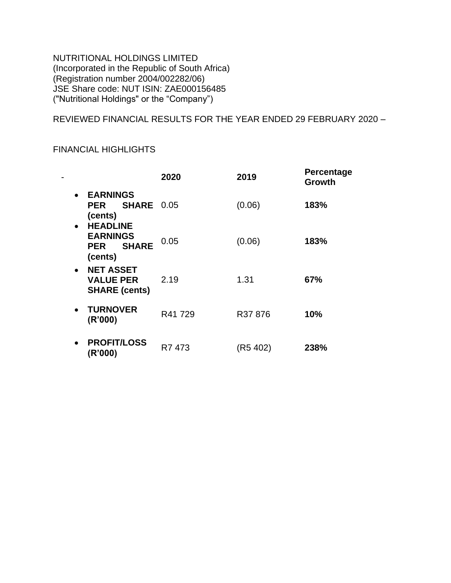NUTRITIONAL HOLDINGS LIMITED (Incorporated in the Republic of South Africa) (Registration number 2004/002282/06) JSE Share code: NUT ISIN: ZAE000156485 ("Nutritional Holdings" or the "Company")

REVIEWED FINANCIAL RESULTS FOR THE YEAR ENDED 29 FEBRUARY 2020 –

## FINANCIAL HIGHLIGHTS

|                                                                                          | 2020   | 2019     | <b>Percentage</b><br>Growth |
|------------------------------------------------------------------------------------------|--------|----------|-----------------------------|
| <b>EARNINGS</b><br>$\bullet$<br><b>SHARE 0.05</b><br><b>PER</b><br>(cents)               |        | (0.06)   | 183%                        |
| <b>HEADLINE</b><br>$\bullet$<br><b>EARNINGS</b><br><b>SHARE</b><br><b>PER</b><br>(cents) | 0.05   | (0.06)   | 183%                        |
| <b>NET ASSET</b><br>$\bullet$<br><b>VALUE PER</b><br><b>SHARE (cents)</b>                | 2.19   | 1.31     | 67%                         |
| <b>TURNOVER</b><br>$\bullet$<br>(R'000)                                                  | R41729 | R37876   | 10%                         |
| <b>PROFIT/LOSS</b><br>$\bullet$<br>(R'000)                                               | R7 473 | (R5 402) | 238%                        |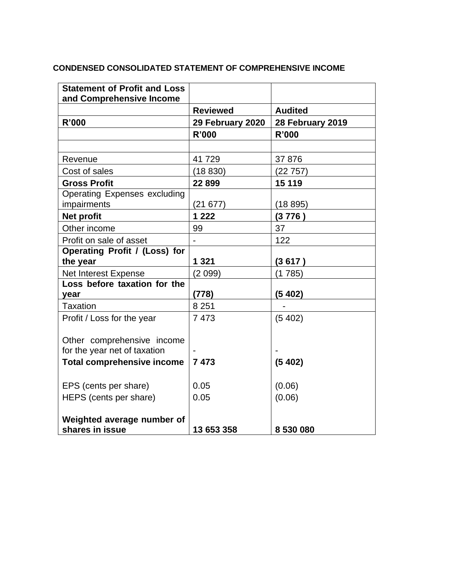### **CONDENSED CONSOLIDATED STATEMENT OF COMPREHENSIVE INCOME**

| <b>Statement of Profit and Loss</b><br>and Comprehensive Income |                  |                  |
|-----------------------------------------------------------------|------------------|------------------|
|                                                                 | <b>Reviewed</b>  | <b>Audited</b>   |
| <b>R'000</b>                                                    | 29 February 2020 | 28 February 2019 |
|                                                                 | <b>R'000</b>     | <b>R'000</b>     |
|                                                                 |                  |                  |
| Revenue                                                         | 41729            | 37 876           |
| Cost of sales                                                   | (18830)          | (22757)          |
| <b>Gross Profit</b>                                             | 22899            | 15 119           |
| <b>Operating Expenses excluding</b>                             |                  |                  |
| impairments                                                     | (21677)          | (18895)          |
| <b>Net profit</b>                                               | 1 2 2 2          | (3776)           |
| Other income                                                    | 99               | 37               |
| Profit on sale of asset                                         |                  | 122              |
| Operating Profit / (Loss) for                                   |                  |                  |
| the year                                                        | 1 3 2 1          | (3 617 )         |
| Net Interest Expense                                            | (2099)           | (1785)           |
| Loss before taxation for the                                    |                  |                  |
| year                                                            | (778)            | (5402)           |
| Taxation                                                        | 8 2 5 1          |                  |
| Profit / Loss for the year                                      | 7473             | (5402)           |
|                                                                 |                  |                  |
| Other comprehensive income                                      |                  |                  |
| for the year net of taxation                                    | 7473             |                  |
| <b>Total comprehensive income</b>                               |                  | (5402)           |
| EPS (cents per share)                                           | 0.05             | (0.06)           |
| HEPS (cents per share)                                          | 0.05             | (0.06)           |
|                                                                 |                  |                  |
| Weighted average number of                                      |                  |                  |
| shares in issue                                                 | 13 653 358       | 8 530 080        |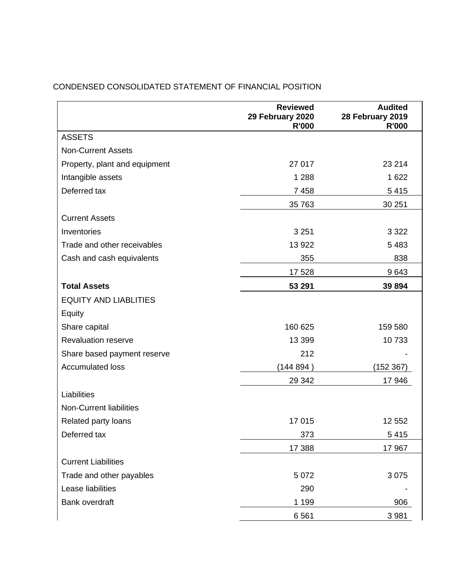|                                | <b>Reviewed</b><br>29 February 2020<br><b>R'000</b> | <b>Audited</b><br>28 February 2019<br><b>R'000</b> |
|--------------------------------|-----------------------------------------------------|----------------------------------------------------|
| <b>ASSETS</b>                  |                                                     |                                                    |
| <b>Non-Current Assets</b>      |                                                     |                                                    |
| Property, plant and equipment  | 27 017                                              | 23 214                                             |
| Intangible assets              | 1 2 8 8                                             | 1 6 2 2                                            |
| Deferred tax                   | 7 4 5 8                                             | 5415                                               |
|                                | 35 763                                              | 30 251                                             |
| <b>Current Assets</b>          |                                                     |                                                    |
| Inventories                    | 3 2 5 1                                             | 3 3 2 2                                            |
| Trade and other receivables    | 13 922                                              | 5 4 8 3                                            |
| Cash and cash equivalents      | 355                                                 | 838                                                |
|                                | 17 528                                              | 9643                                               |
| <b>Total Assets</b>            | 53 291                                              | 39 894                                             |
| <b>EQUITY AND LIABLITIES</b>   |                                                     |                                                    |
| Equity                         |                                                     |                                                    |
| Share capital                  | 160 625                                             | 159 580                                            |
| <b>Revaluation reserve</b>     | 13 3 9 9                                            | 10733                                              |
| Share based payment reserve    | 212                                                 |                                                    |
| <b>Accumulated loss</b>        | (144 894 )                                          | (152 367)                                          |
|                                | 29 342                                              | 17 946                                             |
| Liabilities                    |                                                     |                                                    |
| <b>Non-Current liabilities</b> |                                                     |                                                    |
| Related party loans            | 17 015                                              | 12 552                                             |
| Deferred tax                   | 373                                                 | 5 4 1 5                                            |
|                                | 17 388                                              | 17 967                                             |
| <b>Current Liabilities</b>     |                                                     |                                                    |
| Trade and other payables       | 5 0 7 2                                             | 3 0 7 5                                            |
| Lease liabilities              | 290                                                 |                                                    |
| Bank overdraft                 | 1 1 9 9                                             | 906                                                |
|                                | 6561                                                | 3 9 8 1                                            |

# CONDENSED CONSOLIDATED STATEMENT OF FINANCIAL POSITION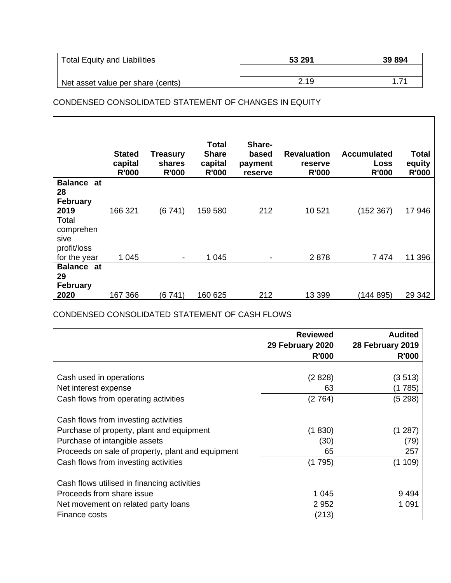| Total Equity and Liabilities      | 53 291 | 39 894 |
|-----------------------------------|--------|--------|
|                                   |        |        |
| Net asset value per share (cents) | 2.19   | 171    |

### CONDENSED CONSOLIDATED STATEMENT OF CHANGES IN EQUITY

|                   | <b>Stated</b><br>capital<br><b>R'000</b> | <b>Treasury</b><br>shares<br><b>R'000</b> | Total<br><b>Share</b><br>capital<br><b>R'000</b> | Share-<br>based<br>payment<br>reserve | <b>Revaluation</b><br>reserve<br><b>R'000</b> | <b>Accumulated</b><br><b>Loss</b><br><b>R'000</b> | Total<br>equity<br><b>R'000</b> |
|-------------------|------------------------------------------|-------------------------------------------|--------------------------------------------------|---------------------------------------|-----------------------------------------------|---------------------------------------------------|---------------------------------|
| <b>Balance at</b> |                                          |                                           |                                                  |                                       |                                               |                                                   |                                 |
| 28                |                                          |                                           |                                                  |                                       |                                               |                                                   |                                 |
| <b>February</b>   |                                          |                                           |                                                  |                                       |                                               |                                                   |                                 |
| 2019              | 166 321                                  | (6741)                                    | 159 580                                          | 212                                   | 10 521                                        | (152 367)                                         | 17 946                          |
| Total             |                                          |                                           |                                                  |                                       |                                               |                                                   |                                 |
| comprehen<br>sive |                                          |                                           |                                                  |                                       |                                               |                                                   |                                 |
| profit/loss       |                                          |                                           |                                                  |                                       |                                               |                                                   |                                 |
| for the year      | 1 0 4 5                                  |                                           | 1 0 4 5                                          |                                       | 2878                                          | 7474                                              | 11 396                          |
| <b>Balance at</b> |                                          |                                           |                                                  |                                       |                                               |                                                   |                                 |
| 29                |                                          |                                           |                                                  |                                       |                                               |                                                   |                                 |
| February          |                                          |                                           |                                                  |                                       |                                               |                                                   |                                 |
| 2020              | 167 366                                  | (6741)                                    | 160 625                                          | 212                                   | 13 399                                        | (144 895)                                         | 29 342                          |

CONDENSED CONSOLIDATED STATEMENT OF CASH FLOWS

|                                                   | <b>Reviewed</b>  | <b>Audited</b>   |
|---------------------------------------------------|------------------|------------------|
|                                                   | 29 February 2020 | 28 February 2019 |
|                                                   | <b>R'000</b>     | <b>R'000</b>     |
|                                                   |                  |                  |
| Cash used in operations                           | (2828)           | (3 513)          |
| Net interest expense                              | 63               | (1 785)          |
| Cash flows from operating activities              | (2764)           | (5298)           |
| Cash flows from investing activities              |                  |                  |
| Purchase of property, plant and equipment         | (1830)           | (1 287)          |
| Purchase of intangible assets                     | (30)             | (79)             |
| Proceeds on sale of property, plant and equipment | 65               | 257              |
| Cash flows from investing activities              | (1 795)          | (1109)           |
| Cash flows utilised in financing activities       |                  |                  |
| Proceeds from share issue                         | 1 0 4 5          | 9494             |
| Net movement on related party loans               | 2952             | 1 0 9 1          |
| Finance costs                                     | (213)            |                  |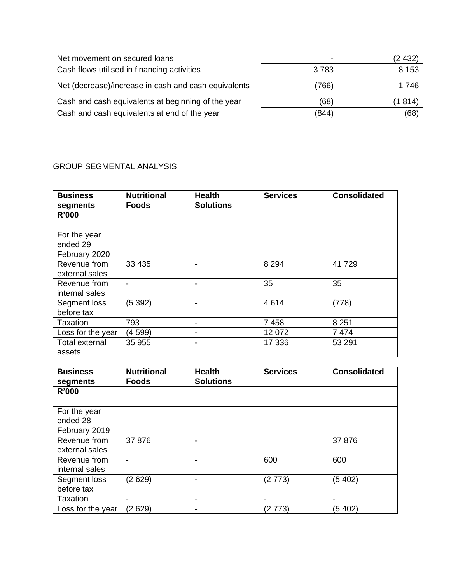| Net movement on secured loans                        | $\overline{\phantom{0}}$ | (2 432) |
|------------------------------------------------------|--------------------------|---------|
| Cash flows utilised in financing activities          | 3783                     | 8 1 5 3 |
| Net (decrease)/increase in cash and cash equivalents | (766)                    | 1746    |
| Cash and cash equivalents at beginning of the year   | (68)                     | (1 814) |
| Cash and cash equivalents at end of the year         | (844)                    | (68)    |
|                                                      |                          |         |

# GROUP SEGMENTAL ANALYSIS

| <b>Business</b><br>segments               | <b>Nutritional</b><br><b>Foods</b> | <b>Health</b><br><b>Solutions</b> | <b>Services</b> | <b>Consolidated</b> |
|-------------------------------------------|------------------------------------|-----------------------------------|-----------------|---------------------|
| <b>R'000</b>                              |                                    |                                   |                 |                     |
|                                           |                                    |                                   |                 |                     |
| For the year<br>ended 29<br>February 2020 |                                    |                                   |                 |                     |
| Revenue from<br>external sales            | 33 4 35                            |                                   | 8 2 9 4         | 41729               |
| Revenue from<br>internal sales            |                                    |                                   | 35              | 35                  |
| Segment loss<br>before tax                | (5392)                             |                                   | 4614            | (778)               |
| <b>Taxation</b>                           | 793                                |                                   | 7 4 5 8         | 8 2 5 1             |
| Loss for the year                         | (4 599)                            | ۰                                 | 12 072          | 7474                |
| Total external<br>assets                  | 35 955                             |                                   | 17 336          | 53 291              |

| <b>Business</b><br>segments | <b>Nutritional</b><br><b>Foods</b> | <b>Health</b><br><b>Solutions</b> | <b>Services</b> | <b>Consolidated</b> |
|-----------------------------|------------------------------------|-----------------------------------|-----------------|---------------------|
| R'000                       |                                    |                                   |                 |                     |
|                             |                                    |                                   |                 |                     |
| For the year                |                                    |                                   |                 |                     |
| ended 28                    |                                    |                                   |                 |                     |
| February 2019               |                                    |                                   |                 |                     |
| Revenue from                | 37876                              |                                   |                 | 37876               |
| external sales              |                                    |                                   |                 |                     |
| Revenue from                |                                    |                                   | 600             | 600                 |
| internal sales              |                                    |                                   |                 |                     |
| Segment loss                | (2629)                             |                                   | (2773)          | (5 402)             |
| before tax                  |                                    |                                   |                 |                     |
| Taxation                    | -                                  |                                   |                 |                     |
| Loss for the year           | (2629)                             |                                   | (2773)          | (5 402)             |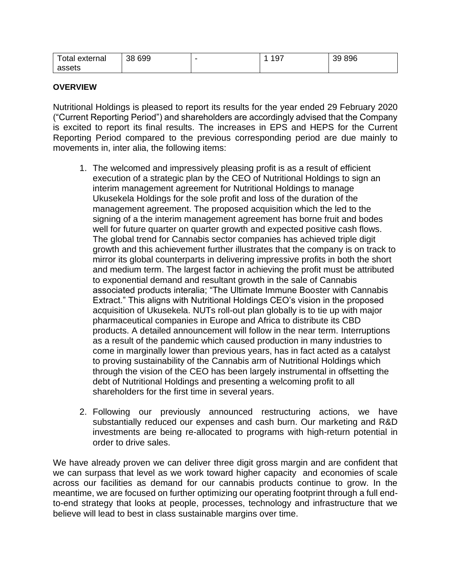| Total external | 38 699 | $-10^-$<br>ູບ | 39 896 |
|----------------|--------|---------------|--------|
| assets         |        |               |        |

#### **OVERVIEW**

Nutritional Holdings is pleased to report its results for the year ended 29 February 2020 ("Current Reporting Period") and shareholders are accordingly advised that the Company is excited to report its final results. The increases in EPS and HEPS for the Current Reporting Period compared to the previous corresponding period are due mainly to movements in, inter alia, the following items:

- 1. The welcomed and impressively pleasing profit is as a result of efficient execution of a strategic plan by the CEO of Nutritional Holdings to sign an interim management agreement for Nutritional Holdings to manage Ukusekela Holdings for the sole profit and loss of the duration of the management agreement. The proposed acquisition which the led to the signing of a the interim management agreement has borne fruit and bodes well for future quarter on quarter growth and expected positive cash flows. The global trend for Cannabis sector companies has achieved triple digit growth and this achievement further illustrates that the company is on track to mirror its global counterparts in delivering impressive profits in both the short and medium term. The largest factor in achieving the profit must be attributed to exponential demand and resultant growth in the sale of Cannabis associated products interalia; "The Ultimate Immune Booster with Cannabis Extract." This aligns with Nutritional Holdings CEO's vision in the proposed acquisition of Ukusekela. NUTs roll-out plan globally is to tie up with major pharmaceutical companies in Europe and Africa to distribute its CBD products. A detailed announcement will follow in the near term. Interruptions as a result of the pandemic which caused production in many industries to come in marginally lower than previous years, has in fact acted as a catalyst to proving sustainability of the Cannabis arm of Nutritional Holdings which through the vision of the CEO has been largely instrumental in offsetting the debt of Nutritional Holdings and presenting a welcoming profit to all shareholders for the first time in several years.
- 2. Following our previously announced restructuring actions, we have substantially reduced our expenses and cash burn. Our marketing and R&D investments are being re-allocated to programs with high-return potential in order to drive sales.

We have already proven we can deliver three digit gross margin and are confident that we can surpass that level as we work toward higher capacity and economies of scale across our facilities as demand for our cannabis products continue to grow. In the meantime, we are focused on further optimizing our operating footprint through a full endto-end strategy that looks at people, processes, technology and infrastructure that we believe will lead to best in class sustainable margins over time.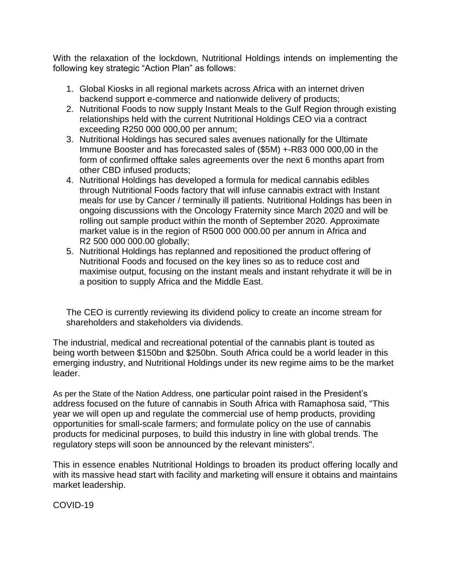With the relaxation of the lockdown, Nutritional Holdings intends on implementing the following key strategic "Action Plan" as follows:

- 1. Global Kiosks in all regional markets across Africa with an internet driven backend support e-commerce and nationwide delivery of products;
- 2. Nutritional Foods to now supply Instant Meals to the Gulf Region through existing relationships held with the current Nutritional Holdings CEO via a contract exceeding R250 000 000,00 per annum;
- 3. Nutritional Holdings has secured sales avenues nationally for the Ultimate Immune Booster and has forecasted sales of (\$5M) +-R83 000 000,00 in the form of confirmed offtake sales agreements over the next 6 months apart from other CBD infused products;
- 4. Nutritional Holdings has developed a formula for medical cannabis edibles through Nutritional Foods factory that will infuse cannabis extract with Instant meals for use by Cancer / terminally ill patients. Nutritional Holdings has been in ongoing discussions with the Oncology Fraternity since March 2020 and will be rolling out sample product within the month of September 2020. Approximate market value is in the region of R500 000 000.00 per annum in Africa and R2 500 000 000.00 globally;
- 5. Nutritional Holdings has replanned and repositioned the product offering of Nutritional Foods and focused on the key lines so as to reduce cost and maximise output, focusing on the instant meals and instant rehydrate it will be in a position to supply Africa and the Middle East.

The CEO is currently reviewing its dividend policy to create an income stream for shareholders and stakeholders via dividends.

The industrial, medical and recreational potential of the cannabis plant is touted as being worth between \$150bn and \$250bn. South Africa could be a world leader in this emerging industry, and Nutritional Holdings under its new regime aims to be the market leader.

As per the State of the Nation Address, one particular point raised in the President's address focused on the future of cannabis in South Africa with Ramaphosa said, "This year we will open up and regulate the commercial use of hemp products, providing opportunities for small-scale farmers; and formulate policy on the use of cannabis products for medicinal purposes, to build this industry in line with global trends. The regulatory steps will soon be announced by the relevant ministers".

This in essence enables Nutritional Holdings to broaden its product offering locally and with its massive head start with facility and marketing will ensure it obtains and maintains market leadership.

COVID-19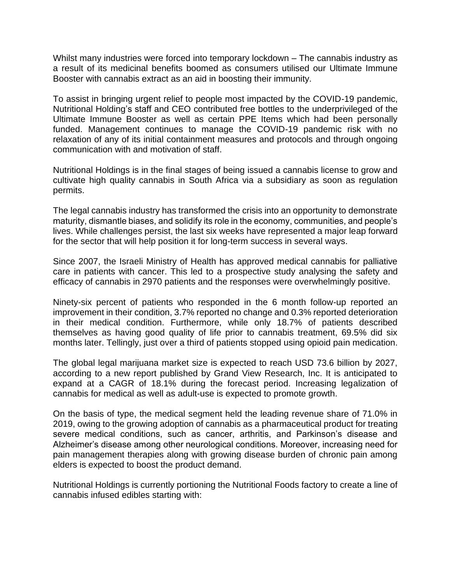Whilst many industries were forced into temporary lockdown – The cannabis industry as a result of its medicinal benefits boomed as consumers utilised our Ultimate Immune Booster with cannabis extract as an aid in boosting their immunity.

To assist in bringing urgent relief to people most impacted by the COVID-19 pandemic, Nutritional Holding's staff and CEO contributed free bottles to the underprivileged of the Ultimate Immune Booster as well as certain PPE Items which had been personally funded. Management continues to manage the COVID-19 pandemic risk with no relaxation of any of its initial containment measures and protocols and through ongoing communication with and motivation of staff.

Nutritional Holdings is in the final stages of being issued a cannabis license to grow and cultivate high quality cannabis in South Africa via a subsidiary as soon as regulation permits.

The legal cannabis industry has transformed the crisis into an opportunity to demonstrate maturity, dismantle biases, and solidify its role in the economy, communities, and people's lives. While challenges persist, the last six weeks have represented a major leap forward for the sector that will help position it for long-term success in several ways.

Since 2007, the Israeli Ministry of Health has approved medical cannabis for palliative care in patients with cancer. This led to a prospective study analysing the safety and efficacy of cannabis in 2970 patients and the responses were overwhelmingly positive.

Ninety-six percent of patients who responded in the 6 month follow-up reported an improvement in their condition, 3.7% reported no change and 0.3% reported deterioration in their medical condition. Furthermore, while only 18.7% of patients described themselves as having good quality of life prior to cannabis treatment, 69.5% did six months later. Tellingly, just over a third of patients stopped using opioid pain medication.

The global legal marijuana market size is expected to reach USD 73.6 billion by 2027, according to a new report published by Grand View Research, Inc. It is anticipated to expand at a CAGR of 18.1% during the forecast period. Increasing legalization of cannabis for medical as well as adult-use is expected to promote growth.

On the basis of type, the medical segment held the leading revenue share of 71.0% in 2019, owing to the growing adoption of cannabis as a pharmaceutical product for treating severe medical conditions, such as cancer, arthritis, and Parkinson's disease and Alzheimer's disease among other neurological conditions. Moreover, increasing need for pain management therapies along with growing disease burden of chronic pain among elders is expected to boost the product demand.

Nutritional Holdings is currently portioning the Nutritional Foods factory to create a line of cannabis infused edibles starting with: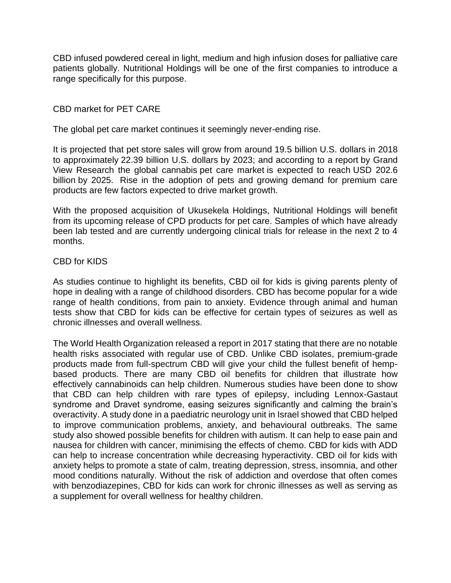CBD infused powdered cereal in light, medium and high infusion doses for palliative care patients globally. Nutritional Holdings will be one of the first companies to introduce a range specifically for this purpose.

#### CBD market for PET CARE

The global pet care market continues it seemingly never-ending rise.

It is projected that pet store sales will grow from around 19.5 billion U.S. dollars in 2018 to approximately 22.39 billion U.S. dollars by 2023; and according to a [report](https://www.grandviewresearch.com/industry-analysis/pet-care-market) by Grand View Research the global cannabis pet care market is expected to reach USD 202.6 billion by 2025. Rise in the adoption of pets and growing demand for premium care products are few factors expected to drive market growth.

With the proposed acquisition of Ukusekela Holdings, Nutritional Holdings will benefit from its upcoming release of CPD products for pet care. Samples of which have already been lab tested and are currently undergoing clinical trials for release in the next 2 to 4 months.

#### CBD for KIDS

As studies continue to highlight its benefits, CBD oil for kids is giving parents plenty of hope in dealing with a range of childhood disorders. CBD has become popular for a wide range of health conditions, from pain to anxiety. Evidence through animal and human tests show that CBD for kids can be effective for certain types of seizures as well as chronic illnesses and overall wellness.

The World Health Organization released a report in 2017 stating that there are no notable health risks associated with regular use of CBD. Unlike CBD isolates, premium-grade products made from full-spectrum CBD will give your child the fullest benefit of hempbased products. There are many CBD oil benefits for children that illustrate how effectively cannabinoids can help children. Numerous studies have been done to show that CBD can help children with rare types of epilepsy, including Lennox-Gastaut syndrome and Dravet syndrome, easing seizures significantly and calming the brain's overactivity. A study done in a paediatric neurology unit in Israel showed that CBD helped to improve communication problems, anxiety, and behavioural outbreaks. The same study also showed possible benefits for children with autism. It can help to ease pain and nausea for children with cancer, minimising the effects of chemo. CBD for kids with ADD can help to increase concentration while decreasing hyperactivity. CBD oil for kids with anxiety helps to promote a state of calm, treating depression, stress, insomnia, and other mood conditions naturally. Without the risk of addiction and overdose that often comes with benzodiazepines, CBD for kids can work for chronic illnesses as well as serving as a supplement for overall wellness for healthy children.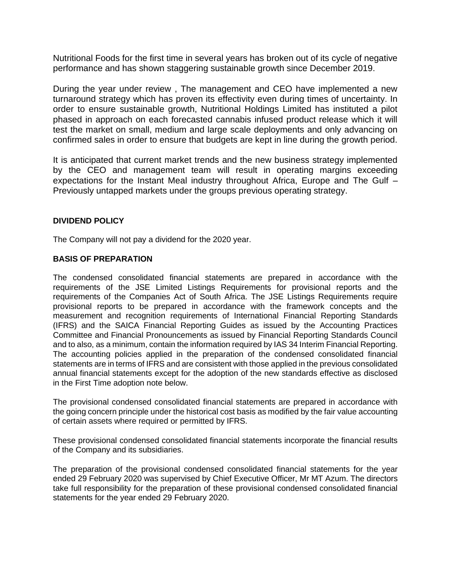Nutritional Foods for the first time in several years has broken out of its cycle of negative performance and has shown staggering sustainable growth since December 2019.

During the year under review , The management and CEO have implemented a new turnaround strategy which has proven its effectivity even during times of uncertainty. In order to ensure sustainable growth, Nutritional Holdings Limited has instituted a pilot phased in approach on each forecasted cannabis infused product release which it will test the market on small, medium and large scale deployments and only advancing on confirmed sales in order to ensure that budgets are kept in line during the growth period.

It is anticipated that current market trends and the new business strategy implemented by the CEO and management team will result in operating margins exceeding expectations for the Instant Meal industry throughout Africa, Europe and The Gulf – Previously untapped markets under the groups previous operating strategy.

#### **DIVIDEND POLICY**

The Company will not pay a dividend for the 2020 year.

#### **BASIS OF PREPARATION**

The condensed consolidated financial statements are prepared in accordance with the requirements of the JSE Limited Listings Requirements for provisional reports and the requirements of the Companies Act of South Africa. The JSE Listings Requirements require provisional reports to be prepared in accordance with the framework concepts and the measurement and recognition requirements of International Financial Reporting Standards (IFRS) and the SAICA Financial Reporting Guides as issued by the Accounting Practices Committee and Financial Pronouncements as issued by Financial Reporting Standards Council and to also, as a minimum, contain the information required by IAS 34 Interim Financial Reporting. The accounting policies applied in the preparation of the condensed consolidated financial statements are in terms of IFRS and are consistent with those applied in the previous consolidated annual financial statements except for the adoption of the new standards effective as disclosed in the First Time adoption note below.

The provisional condensed consolidated financial statements are prepared in accordance with the going concern principle under the historical cost basis as modified by the fair value accounting of certain assets where required or permitted by IFRS.

These provisional condensed consolidated financial statements incorporate the financial results of the Company and its subsidiaries.

The preparation of the provisional condensed consolidated financial statements for the year ended 29 February 2020 was supervised by Chief Executive Officer, Mr MT Azum. The directors take full responsibility for the preparation of these provisional condensed consolidated financial statements for the year ended 29 February 2020.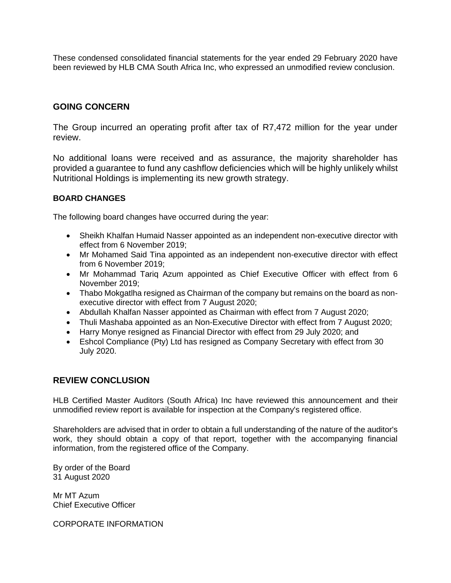These condensed consolidated financial statements for the year ended 29 February 2020 have been reviewed by HLB CMA South Africa Inc, who expressed an unmodified review conclusion.

### **GOING CONCERN**

The Group incurred an operating profit after tax of R7,472 million for the year under review.

No additional loans were received and as assurance, the majority shareholder has provided a guarantee to fund any cashflow deficiencies which will be highly unlikely whilst Nutritional Holdings is implementing its new growth strategy.

#### **BOARD CHANGES**

The following board changes have occurred during the year:

- Sheikh Khalfan Humaid Nasser appointed as an independent non-executive director with effect from 6 November 2019;
- Mr Mohamed Said Tina appointed as an independent non-executive director with effect from 6 November 2019;
- Mr Mohammad Tariq Azum appointed as Chief Executive Officer with effect from 6 November 2019;
- Thabo Mokgatlha resigned as Chairman of the company but remains on the board as nonexecutive director with effect from 7 August 2020;
- Abdullah Khalfan Nasser appointed as Chairman with effect from 7 August 2020;
- Thuli Mashaba appointed as an Non-Executive Director with effect from 7 August 2020;
- Harry Monye resigned as Financial Director with effect from 29 July 2020; and
- Eshcol Compliance (Pty) Ltd has resigned as Company Secretary with effect from 30 July 2020.

### **REVIEW CONCLUSION**

HLB Certified Master Auditors (South Africa) Inc have reviewed this announcement and their unmodified review report is available for inspection at the Company's registered office.

Shareholders are advised that in order to obtain a full understanding of the nature of the auditor's work, they should obtain a copy of that report, together with the accompanying financial information, from the registered office of the Company.

By order of the Board 31 August 2020

Mr MT Azum Chief Executive Officer

CORPORATE INFORMATION